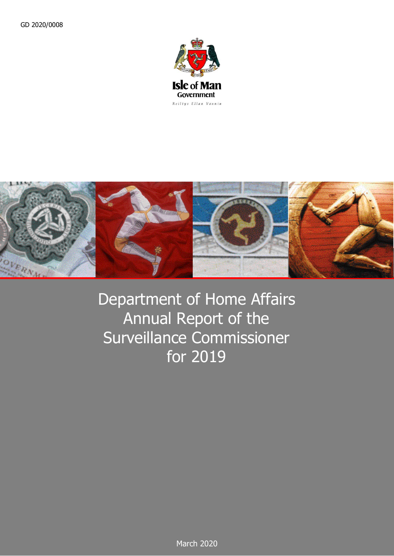



Department of Home Affairs Annual Report of the Surveillance Commissioner for 2019

March 2020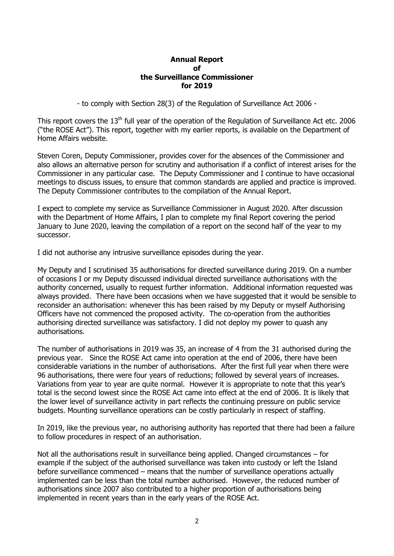## **Annual Report of the Surveillance Commissioner for 2019**

- to comply with Section 28(3) of the Regulation of Surveillance Act 2006 -

This report covers the 13<sup>th</sup> full year of the operation of the Regulation of Surveillance Act etc. 2006 ("the ROSE Act"). This report, together with my earlier reports, is available on the Department of Home Affairs website.

Steven Coren, Deputy Commissioner, provides cover for the absences of the Commissioner and also allows an alternative person for scrutiny and authorisation if a conflict of interest arises for the Commissioner in any particular case. The Deputy Commissioner and I continue to have occasional meetings to discuss issues, to ensure that common standards are applied and practice is improved. The Deputy Commissioner contributes to the compilation of the Annual Report.

I expect to complete my service as Surveillance Commissioner in August 2020. After discussion with the Department of Home Affairs, I plan to complete my final Report covering the period January to June 2020, leaving the compilation of a report on the second half of the year to my successor.

I did not authorise any intrusive surveillance episodes during the year.

My Deputy and I scrutinised 35 authorisations for directed surveillance during 2019. On a number of occasions I or my Deputy discussed individual directed surveillance authorisations with the authority concerned, usually to request further information. Additional information requested was always provided. There have been occasions when we have suggested that it would be sensible to reconsider an authorisation: whenever this has been raised by my Deputy or myself Authorising Officers have not commenced the proposed activity. The co-operation from the authorities authorising directed surveillance was satisfactory. I did not deploy my power to quash any authorisations.

The number of authorisations in 2019 was 35, an increase of 4 from the 31 authorised during the previous year. Since the ROSE Act came into operation at the end of 2006, there have been considerable variations in the number of authorisations. After the first full year when there were 96 authorisations, there were four years of reductions; followed by several years of increases. Variations from year to year are quite normal. However it is appropriate to note that this year's total is the second lowest since the ROSE Act came into effect at the end of 2006. It is likely that the lower level of surveillance activity in part reflects the continuing pressure on public service budgets. Mounting surveillance operations can be costly particularly in respect of staffing.

In 2019, like the previous year, no authorising authority has reported that there had been a failure to follow procedures in respect of an authorisation.

Not all the authorisations result in surveillance being applied. Changed circumstances – for example if the subject of the authorised surveillance was taken into custody or left the Island before surveillance commenced – means that the number of surveillance operations actually implemented can be less than the total number authorised. However, the reduced number of authorisations since 2007 also contributed to a higher proportion of authorisations being implemented in recent years than in the early years of the ROSE Act.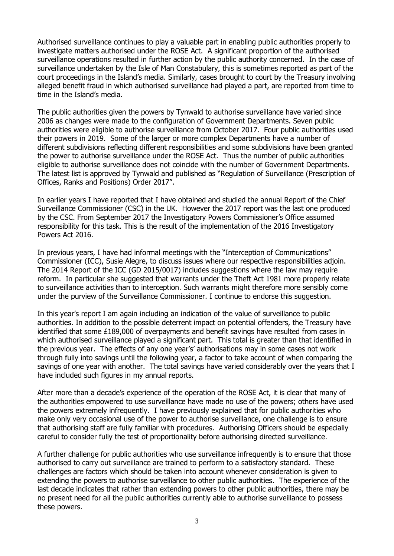Authorised surveillance continues to play a valuable part in enabling public authorities properly to investigate matters authorised under the ROSE Act. A significant proportion of the authorised surveillance operations resulted in further action by the public authority concerned. In the case of surveillance undertaken by the Isle of Man Constabulary, this is sometimes reported as part of the court proceedings in the Island's media. Similarly, cases brought to court by the Treasury involving alleged benefit fraud in which authorised surveillance had played a part, are reported from time to time in the Island's media.

The public authorities given the powers by Tynwald to authorise surveillance have varied since 2006 as changes were made to the configuration of Government Departments. Seven public authorities were eligible to authorise surveillance from October 2017. Four public authorities used their powers in 2019. Some of the larger or more complex Departments have a number of different subdivisions reflecting different responsibilities and some subdivisions have been granted the power to authorise surveillance under the ROSE Act. Thus the number of public authorities eligible to authorise surveillance does not coincide with the number of Government Departments. The latest list is approved by Tynwald and published as "Regulation of Surveillance (Prescription of Offices, Ranks and Positions) Order 2017".

In earlier years I have reported that I have obtained and studied the annual Report of the Chief Surveillance Commissioner (CSC) in the UK. However the 2017 report was the last one produced by the CSC. From September 2017 the Investigatory Powers Commissioner's Office assumed responsibility for this task. This is the result of the implementation of the 2016 Investigatory Powers Act 2016.

In previous years, I have had informal meetings with the "Interception of Communications" Commissioner (ICC), Susie Alegre, to discuss issues where our respective responsibilities adjoin. The 2014 Report of the ICC (GD 2015/0017) includes suggestions where the law may require reform. In particular she suggested that warrants under the Theft Act 1981 more properly relate to surveillance activities than to interception. Such warrants might therefore more sensibly come under the purview of the Surveillance Commissioner. I continue to endorse this suggestion.

In this year's report I am again including an indication of the value of surveillance to public authorities. In addition to the possible deterrent impact on potential offenders, the Treasury have identified that some £189,000 of overpayments and benefit savings have resulted from cases in which authorised surveillance played a significant part. This total is greater than that identified in the previous year. The effects of any one year's' authorisations may in some cases not work through fully into savings until the following year, a factor to take account of when comparing the savings of one year with another. The total savings have varied considerably over the years that I have included such figures in my annual reports.

After more than a decade's experience of the operation of the ROSE Act, it is clear that many of the authorities empowered to use surveillance have made no use of the powers; others have used the powers extremely infrequently. I have previously explained that for public authorities who make only very occasional use of the power to authorise surveillance, one challenge is to ensure that authorising staff are fully familiar with procedures. Authorising Officers should be especially careful to consider fully the test of proportionality before authorising directed surveillance.

A further challenge for public authorities who use surveillance infrequently is to ensure that those authorised to carry out surveillance are trained to perform to a satisfactory standard. These challenges are factors which should be taken into account whenever consideration is given to extending the powers to authorise surveillance to other public authorities. The experience of the last decade indicates that rather than extending powers to other public authorities, there may be no present need for all the public authorities currently able to authorise surveillance to possess these powers.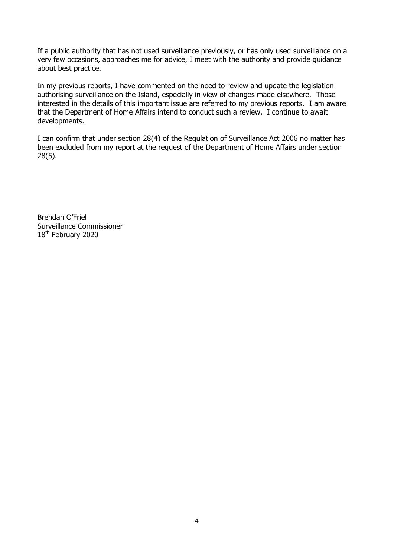If a public authority that has not used surveillance previously, or has only used surveillance on a very few occasions, approaches me for advice, I meet with the authority and provide guidance about best practice.

In my previous reports, I have commented on the need to review and update the legislation authorising surveillance on the Island, especially in view of changes made elsewhere. Those interested in the details of this important issue are referred to my previous reports. I am aware that the Department of Home Affairs intend to conduct such a review. I continue to await developments.

I can confirm that under section 28(4) of the Regulation of Surveillance Act 2006 no matter has been excluded from my report at the request of the Department of Home Affairs under section 28(5).

Brendan O'Friel Surveillance Commissioner 18<sup>th</sup> February 2020